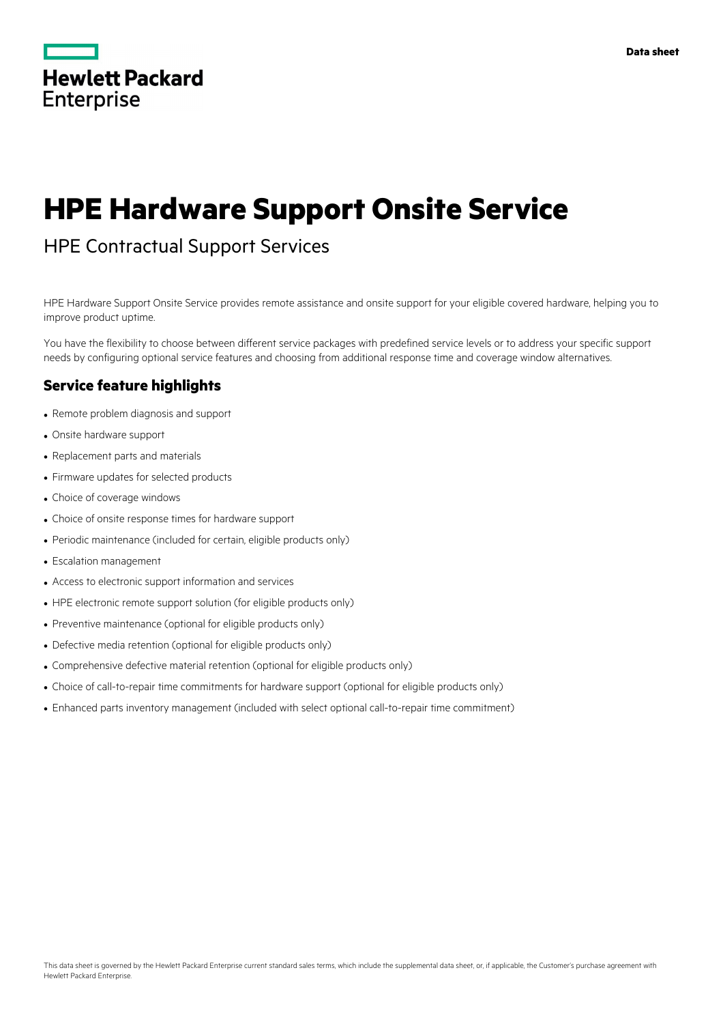

# **HPE Hardware Support Onsite Service**

# HPE Contractual Support Services

HPE Hardware Support Onsite Service provides remote assistance and onsite support for your eligible covered hardware, helping you to improve product uptime.

You have the flexibility to choose between different service packages with predefined service levels or to address your specific support needs by configuring optional service features and choosing from additional response time and coverage window alternatives.

# **Service feature highlights**

- Remote problem diagnosis and support
- Onsite hardware support
- Replacement parts and materials
- Firmware updates for selected products
- Choice of coverage windows
- Choice of onsite response times for hardware support
- Periodic maintenance (included for certain, eligible products only)
- Escalation management
- Access to electronic support information and services
- HPE electronic remote support solution (for eligible products only)
- Preventive maintenance (optional for eligible products only)
- Defective media retention (optional for eligible products only)
- Comprehensive defective material retention (optional for eligible products only)
- Choice of call-to-repair time commitments for hardware support (optional for eligible products only)
- Enhanced parts inventory management (included with select optional call-to-repair time commitment)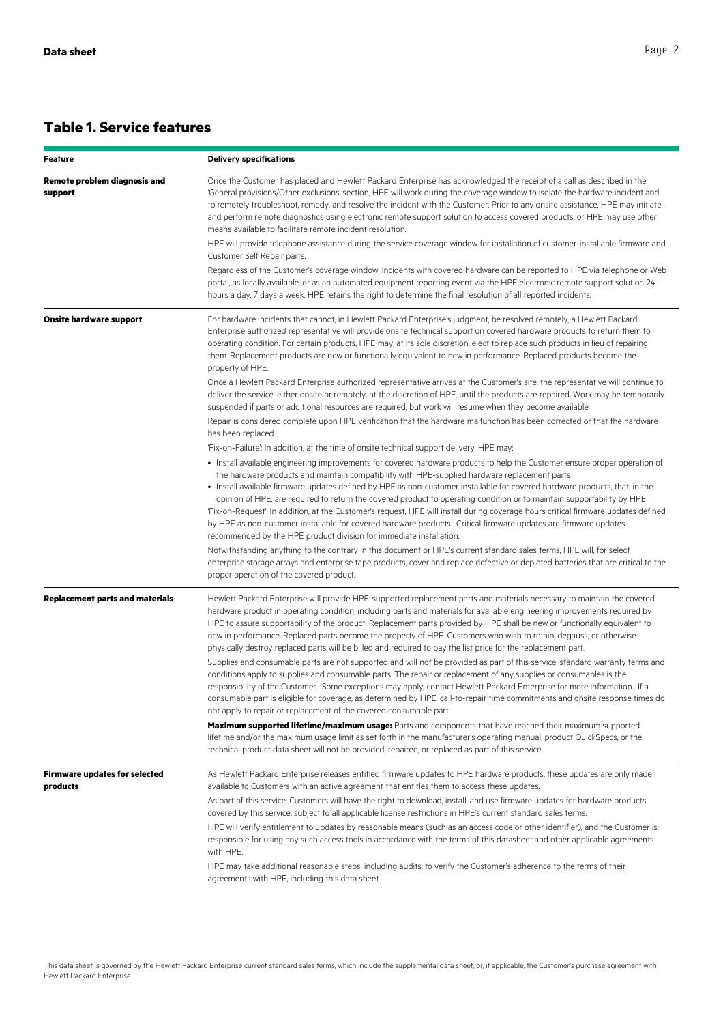# **Table 1. Service features**

| <b>Feature</b>                                   | <b>Delivery specifications</b>                                                                                                                                                                                                                                                                                                                                                                                                                                                                                                                                                                                                                                                                                                                                                                                        |  |  |
|--------------------------------------------------|-----------------------------------------------------------------------------------------------------------------------------------------------------------------------------------------------------------------------------------------------------------------------------------------------------------------------------------------------------------------------------------------------------------------------------------------------------------------------------------------------------------------------------------------------------------------------------------------------------------------------------------------------------------------------------------------------------------------------------------------------------------------------------------------------------------------------|--|--|
| <b>Remote problem diagnosis and</b><br>support   | Once the Customer has placed and Hewlett Packard Enterprise has acknowledged the receipt of a call as described in the<br>'General provisions/Other exclusions' section, HPE will work during the coverage window to isolate the hardware incident and<br>to remotely troubleshoot, remedy, and resolve the incident with the Customer. Prior to any onsite assistance, HPE may initiate<br>and perform remote diagnostics using electronic remote support solution to access covered products, or HPE may use other<br>means available to facilitate remote incident resolution.                                                                                                                                                                                                                                     |  |  |
|                                                  | HPE will provide telephone assistance during the service coverage window for installation of customer-installable firmware and<br>Customer Self Repair parts.                                                                                                                                                                                                                                                                                                                                                                                                                                                                                                                                                                                                                                                         |  |  |
|                                                  | Regardless of the Customer's coverage window, incidents with covered hardware can be reported to HPE via telephone or Web<br>portal, as locally available, or as an automated equipment reporting event via the HPE electronic remote support solution 24<br>hours a day, 7 days a week. HPE retains the right to determine the final resolution of all reported incidents.                                                                                                                                                                                                                                                                                                                                                                                                                                           |  |  |
| <b>Onsite hardware support</b>                   | For hardware incidents that cannot, in Hewlett Packard Enterprise's judgment, be resolved remotely, a Hewlett Packard<br>Enterprise authorized representative will provide onsite technical support on covered hardware products to return them to<br>operating condition. For certain products, HPE may, at its sole discretion, elect to replace such products in lieu of repairing<br>them. Replacement products are new or functionally equivalent to new in performance. Replaced products become the<br>property of HPE.                                                                                                                                                                                                                                                                                        |  |  |
|                                                  | Once a Hewlett Packard Enterprise authorized representative arrives at the Customer's site, the representative will continue to<br>deliver the service, either onsite or remotely, at the discretion of HPE, until the products are repaired. Work may be temporarily<br>suspended if parts or additional resources are required, but work will resume when they become available.                                                                                                                                                                                                                                                                                                                                                                                                                                    |  |  |
|                                                  | Repair is considered complete upon HPE verification that the hardware malfunction has been corrected or that the hardware<br>has been replaced.                                                                                                                                                                                                                                                                                                                                                                                                                                                                                                                                                                                                                                                                       |  |  |
|                                                  | 'Fix-on-Failure': In addition, at the time of onsite technical support delivery, HPE may:                                                                                                                                                                                                                                                                                                                                                                                                                                                                                                                                                                                                                                                                                                                             |  |  |
|                                                  | • Install available engineering improvements for covered hardware products to help the Customer ensure proper operation of<br>the hardware products and maintain compatibility with HPE-supplied hardware replacement parts<br>· Install available firmware updates defined by HPE as non-customer installable for covered hardware products, that, in the<br>opinion of HPE, are required to return the covered product to operating condition or to maintain supportability by HPE<br>'Fix-on-Request': In addition, at the Customer's request, HPE will install during coverage hours critical firmware updates defined<br>by HPE as non-customer installable for covered hardware products. Critical firmware updates are firmware updates<br>recommended by the HPE product division for immediate installation. |  |  |
|                                                  | Notwithstanding anything to the contrary in this document or HPE's current standard sales terms, HPE will, for select<br>enterprise storage arrays and enterprise tape products, cover and replace defective or depleted batteries that are critical to the<br>proper operation of the covered product.                                                                                                                                                                                                                                                                                                                                                                                                                                                                                                               |  |  |
| <b>Replacement parts and materials</b>           | Hewlett Packard Enterprise will provide HPE-supported replacement parts and materials necessary to maintain the covered<br>hardware product in operating condition, including parts and materials for available engineering improvements required by<br>HPE to assure supportability of the product. Replacement parts provided by HPE shall be new or functionally equivalent to<br>new in performance. Replaced parts become the property of HPE. Customers who wish to retain, degauss, or otherwise<br>physically destroy replaced parts will be billed and required to pay the list price for the replacement part.                                                                                                                                                                                              |  |  |
|                                                  | Supplies and consumable parts are not supported and will not be provided as part of this service; standard warranty terms and<br>conditions apply to supplies and consumable parts. The repair or replacement of any supplies or consumables is the<br>responsibility of the Customer. Some exceptions may apply; contact Hewlett Packard Enterprise for more information. If a<br>consumable part is eligible for coverage, as determined by HPE, call-to-repair time commitments and onsite response times do<br>not apply to repair or replacement of the covered consumable part.                                                                                                                                                                                                                                 |  |  |
|                                                  | Maximum supported lifetime/maximum usage: Parts and components that have reached their maximum supported<br>lifetime and/or the maximum usage limit as set forth in the manufacturer's operating manual, product QuickSpecs, or the<br>technical product data sheet will not be provided, repaired, or replaced as part of this service.                                                                                                                                                                                                                                                                                                                                                                                                                                                                              |  |  |
| <b>Firmware updates for selected</b><br>products | As Hewlett Packard Enterprise releases entitled firmware updates to HPE hardware products, these updates are only made<br>available to Customers with an active agreement that entitles them to access these updates.                                                                                                                                                                                                                                                                                                                                                                                                                                                                                                                                                                                                 |  |  |
|                                                  | As part of this service, Customers will have the right to download, install, and use firmware updates for hardware products<br>covered by this service, subject to all applicable license restrictions in HPE's current standard sales terms.                                                                                                                                                                                                                                                                                                                                                                                                                                                                                                                                                                         |  |  |
|                                                  | HPE will verify entitlement to updates by reasonable means (such as an access code or other identifier), and the Customer is<br>responsible for using any such access tools in accordance with the terms of this datasheet and other applicable agreements<br>with HPE.                                                                                                                                                                                                                                                                                                                                                                                                                                                                                                                                               |  |  |
|                                                  | HPE may take additional reasonable steps, including audits, to verify the Customer's adherence to the terms of their<br>agreements with HPE, including this data sheet.                                                                                                                                                                                                                                                                                                                                                                                                                                                                                                                                                                                                                                               |  |  |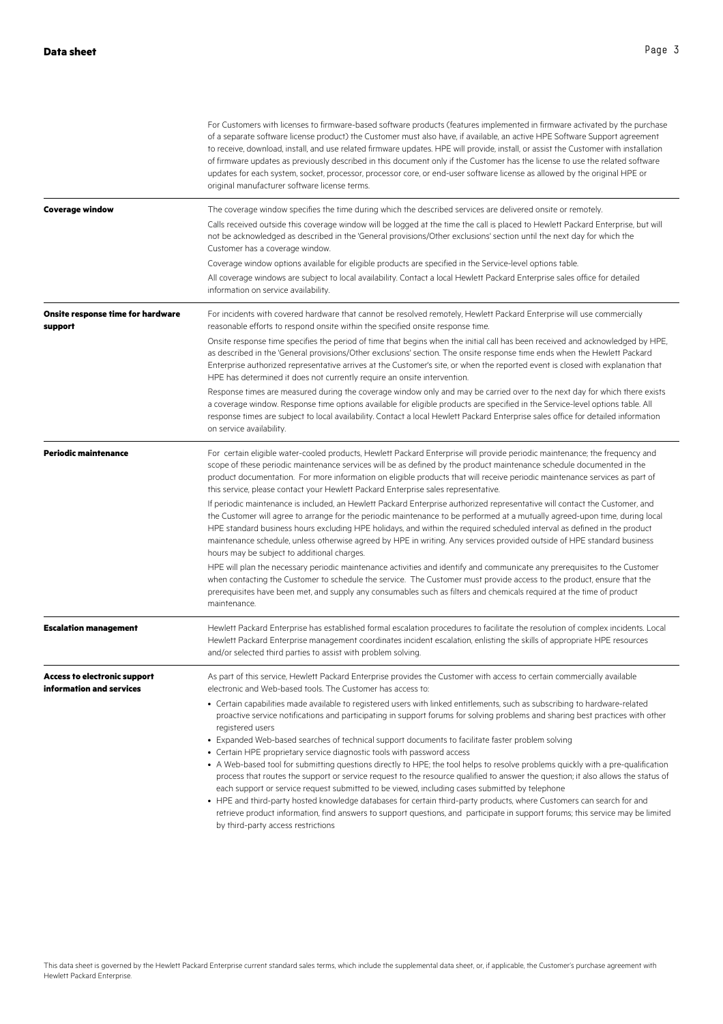|                                                                 | For Customers with licenses to firmware-based software products (features implemented in firmware activated by the purchase<br>of a separate software license product) the Customer must also have, if available, an active HPE Software Support agreement<br>to receive, download, install, and use related firmware updates. HPE will provide, install, or assist the Customer with installation<br>of firmware updates as previously described in this document only if the Customer has the license to use the related software<br>updates for each system, socket, processor, processor core, or end-user software license as allowed by the original HPE or<br>original manufacturer software license terms.                                                                                                                                        |  |  |  |
|-----------------------------------------------------------------|-----------------------------------------------------------------------------------------------------------------------------------------------------------------------------------------------------------------------------------------------------------------------------------------------------------------------------------------------------------------------------------------------------------------------------------------------------------------------------------------------------------------------------------------------------------------------------------------------------------------------------------------------------------------------------------------------------------------------------------------------------------------------------------------------------------------------------------------------------------|--|--|--|
| <b>Coverage window</b>                                          | The coverage window specifies the time during which the described services are delivered onsite or remotely.<br>Calls received outside this coverage window will be logged at the time the call is placed to Hewlett Packard Enterprise, but will<br>not be acknowledged as described in the 'General provisions/Other exclusions' section until the next day for which the<br>Customer has a coverage window.                                                                                                                                                                                                                                                                                                                                                                                                                                            |  |  |  |
|                                                                 | Coverage window options available for eligible products are specified in the Service-level options table.                                                                                                                                                                                                                                                                                                                                                                                                                                                                                                                                                                                                                                                                                                                                                 |  |  |  |
|                                                                 | All coverage windows are subject to local availability. Contact a local Hewlett Packard Enterprise sales office for detailed<br>information on service availability.                                                                                                                                                                                                                                                                                                                                                                                                                                                                                                                                                                                                                                                                                      |  |  |  |
| Onsite response time for hardware<br>support                    | For incidents with covered hardware that cannot be resolved remotely, Hewlett Packard Enterprise will use commercially<br>reasonable efforts to respond onsite within the specified onsite response time.                                                                                                                                                                                                                                                                                                                                                                                                                                                                                                                                                                                                                                                 |  |  |  |
|                                                                 | Onsite response time specifies the period of time that begins when the initial call has been received and acknowledged by HPE,<br>as described in the 'General provisions/Other exclusions' section. The onsite response time ends when the Hewlett Packard                                                                                                                                                                                                                                                                                                                                                                                                                                                                                                                                                                                               |  |  |  |
|                                                                 | Enterprise authorized representative arrives at the Customer's site, or when the reported event is closed with explanation that<br>HPE has determined it does not currently require an onsite intervention.                                                                                                                                                                                                                                                                                                                                                                                                                                                                                                                                                                                                                                               |  |  |  |
|                                                                 | Response times are measured during the coverage window only and may be carried over to the next day for which there exists<br>a coverage window. Response time options available for eligible products are specified in the Service-level options table. All<br>response times are subject to local availability. Contact a local Hewlett Packard Enterprise sales office for detailed information<br>on service availability.                                                                                                                                                                                                                                                                                                                                                                                                                            |  |  |  |
| <b>Periodic maintenance</b>                                     | For certain eligible water-cooled products, Hewlett Packard Enterprise will provide periodic maintenance; the frequency and<br>scope of these periodic maintenance services will be as defined by the product maintenance schedule documented in the<br>product documentation. For more information on eligible products that will receive periodic maintenance services as part of<br>this service, please contact your Hewlett Packard Enterprise sales representative.                                                                                                                                                                                                                                                                                                                                                                                 |  |  |  |
|                                                                 | If periodic maintenance is included, an Hewlett Packard Enterprise authorized representative will contact the Customer, and<br>the Customer will agree to arrange for the periodic maintenance to be performed at a mutually agreed-upon time, during local<br>HPE standard business hours excluding HPE holidays, and within the required scheduled interval as defined in the product<br>maintenance schedule, unless otherwise agreed by HPE in writing. Any services provided outside of HPE standard business<br>hours may be subject to additional charges.                                                                                                                                                                                                                                                                                         |  |  |  |
|                                                                 | HPE will plan the necessary periodic maintenance activities and identify and communicate any prerequisites to the Customer<br>when contacting the Customer to schedule the service. The Customer must provide access to the product, ensure that the<br>prerequisites have been met, and supply any consumables such as filters and chemicals required at the time of product<br>maintenance.                                                                                                                                                                                                                                                                                                                                                                                                                                                             |  |  |  |
| <b>Escalation management</b>                                    | Hewlett Packard Enterprise has established formal escalation procedures to facilitate the resolution of complex incidents. Local<br>Hewlett Packard Enterprise management coordinates incident escalation, enlisting the skills of appropriate HPE resources<br>and/or selected third parties to assist with problem solving.                                                                                                                                                                                                                                                                                                                                                                                                                                                                                                                             |  |  |  |
| <b>Access to electronic support</b><br>information and services | As part of this service, Hewlett Packard Enterprise provides the Customer with access to certain commercially available<br>electronic and Web-based tools. The Customer has access to:                                                                                                                                                                                                                                                                                                                                                                                                                                                                                                                                                                                                                                                                    |  |  |  |
|                                                                 | • Certain capabilities made available to registered users with linked entitlements, such as subscribing to hardware-related<br>proactive service notifications and participating in support forums for solving problems and sharing best practices with other<br>registered users                                                                                                                                                                                                                                                                                                                                                                                                                                                                                                                                                                         |  |  |  |
|                                                                 | • Expanded Web-based searches of technical support documents to facilitate faster problem solving<br>• Certain HPE proprietary service diagnostic tools with password access<br>• A Web-based tool for submitting questions directly to HPE; the tool helps to resolve problems quickly with a pre-qualification<br>process that routes the support or service request to the resource qualified to answer the question; it also allows the status of<br>each support or service request submitted to be viewed, including cases submitted by telephone<br>• HPE and third-party hosted knowledge databases for certain third-party products, where Customers can search for and<br>retrieve product information, find answers to support questions, and participate in support forums; this service may be limited<br>by third-party access restrictions |  |  |  |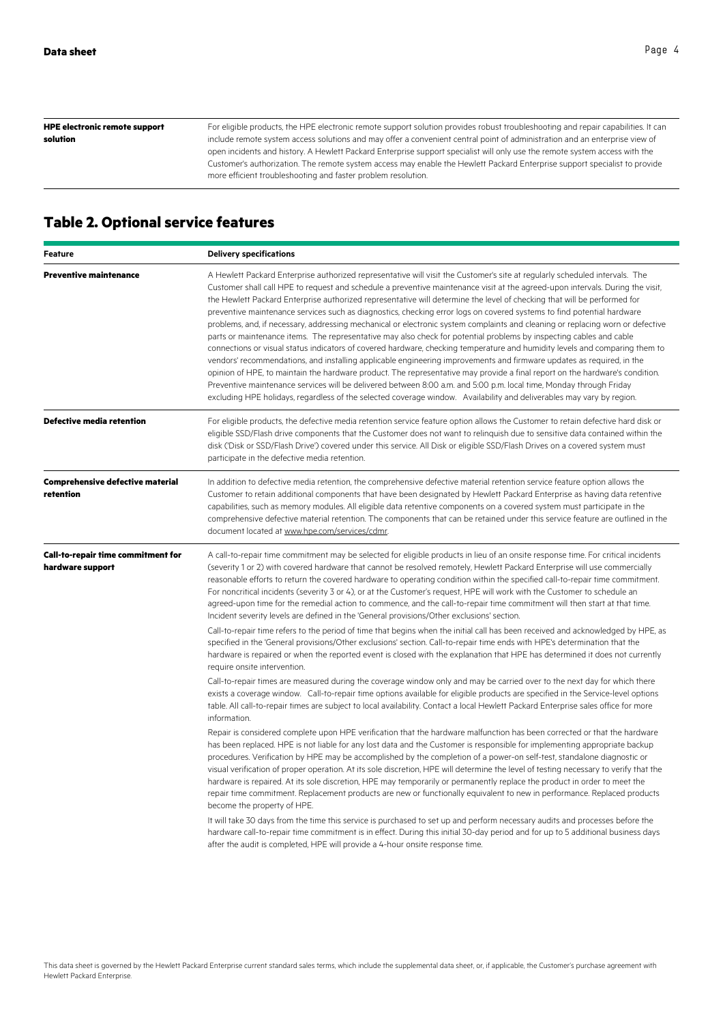| <b>HPE electronic remote support</b> | For eligible products, the HPE electronic remote support solution provides robust troubleshooting and repair capabilities. It can |
|--------------------------------------|-----------------------------------------------------------------------------------------------------------------------------------|
| solution                             | include remote system access solutions and may offer a convenient central point of administration and an enterprise view of       |
|                                      | open incidents and history. A Hewlett Packard Enterprise support specialist will only use the remote system access with the       |
|                                      | Customer's authorization. The remote system access may enable the Hewlett Packard Enterprise support specialist to provide        |
|                                      | more efficient troubleshooting and faster problem resolution.                                                                     |
|                                      |                                                                                                                                   |

# **Table 2. Optional service features**

| <b>Feature</b>                                         | <b>Delivery specifications</b>                                                                                                                                                                                                                                                                                                                                                                                                                                                                                                                                                                                                                                                                                                                                                                                                                                                                                                                                                                                                                                                                                                                                                                                                                                                                                                                                                                                       |  |  |  |
|--------------------------------------------------------|----------------------------------------------------------------------------------------------------------------------------------------------------------------------------------------------------------------------------------------------------------------------------------------------------------------------------------------------------------------------------------------------------------------------------------------------------------------------------------------------------------------------------------------------------------------------------------------------------------------------------------------------------------------------------------------------------------------------------------------------------------------------------------------------------------------------------------------------------------------------------------------------------------------------------------------------------------------------------------------------------------------------------------------------------------------------------------------------------------------------------------------------------------------------------------------------------------------------------------------------------------------------------------------------------------------------------------------------------------------------------------------------------------------------|--|--|--|
| <b>Preventive maintenance</b>                          | A Hewlett Packard Enterprise authorized representative will visit the Customer's site at regularly scheduled intervals. The<br>Customer shall call HPE to request and schedule a preventive maintenance visit at the agreed-upon intervals. During the visit,<br>the Hewlett Packard Enterprise authorized representative will determine the level of checking that will be performed for<br>preventive maintenance services such as diagnostics, checking error logs on covered systems to find potential hardware<br>problems, and, if necessary, addressing mechanical or electronic system complaints and cleaning or replacing worn or defective<br>parts or maintenance items. The representative may also check for potential problems by inspecting cables and cable<br>connections or visual status indicators of covered hardware, checking temperature and humidity levels and comparing them to<br>vendors' recommendations, and installing applicable engineering improvements and firmware updates as required, in the<br>opinion of HPE, to maintain the hardware product. The representative may provide a final report on the hardware's condition.<br>Preventive maintenance services will be delivered between 8:00 a.m. and 5:00 p.m. local time, Monday through Friday<br>excluding HPE holidays, regardless of the selected coverage window. Availability and deliverables may vary by region. |  |  |  |
| Defective media retention                              | For eligible products, the defective media retention service feature option allows the Customer to retain defective hard disk or<br>eligible SSD/Flash drive components that the Customer does not want to relinguish due to sensitive data contained within the<br>disk ('Disk or SSD/Flash Drive') covered under this service. All Disk or eligible SSD/Flash Drives on a covered system must<br>participate in the defective media retention.                                                                                                                                                                                                                                                                                                                                                                                                                                                                                                                                                                                                                                                                                                                                                                                                                                                                                                                                                                     |  |  |  |
| <b>Comprehensive defective material</b><br>retention   | In addition to defective media retention, the comprehensive defective material retention service feature option allows the<br>Customer to retain additional components that have been designated by Hewlett Packard Enterprise as having data retentive<br>capabilities, such as memory modules. All eligible data retentive components on a covered system must participate in the<br>comprehensive defective material retention. The components that can be retained under this service feature are outlined in the<br>document located at www.hpe.com/services/cdmr.                                                                                                                                                                                                                                                                                                                                                                                                                                                                                                                                                                                                                                                                                                                                                                                                                                              |  |  |  |
| Call-to-repair time commitment for<br>hardware support | A call-to-repair time commitment may be selected for eligible products in lieu of an onsite response time. For critical incidents<br>(severity 1 or 2) with covered hardware that cannot be resolved remotely, Hewlett Packard Enterprise will use commercially<br>reasonable efforts to return the covered hardware to operating condition within the specified call-to-repair time commitment.<br>For noncritical incidents (severity 3 or 4), or at the Customer's request, HPE will work with the Customer to schedule an<br>agreed-upon time for the remedial action to commence, and the call-to-repair time commitment will then start at that time.<br>Incident severity levels are defined in the 'General provisions/Other exclusions' section.                                                                                                                                                                                                                                                                                                                                                                                                                                                                                                                                                                                                                                                            |  |  |  |
|                                                        | Call-to-repair time refers to the period of time that begins when the initial call has been received and acknowledged by HPE, as<br>specified in the 'General provisions/Other exclusions' section. Call-to-repair time ends with HPE's determination that the<br>hardware is repaired or when the reported event is closed with the explanation that HPE has determined it does not currently<br>require onsite intervention.                                                                                                                                                                                                                                                                                                                                                                                                                                                                                                                                                                                                                                                                                                                                                                                                                                                                                                                                                                                       |  |  |  |
|                                                        | Call-to-repair times are measured during the coverage window only and may be carried over to the next day for which there<br>exists a coverage window. Call-to-repair time options available for eligible products are specified in the Service-level options<br>table. All call-to-repair times are subject to local availability. Contact a local Hewlett Packard Enterprise sales office for more<br>information.                                                                                                                                                                                                                                                                                                                                                                                                                                                                                                                                                                                                                                                                                                                                                                                                                                                                                                                                                                                                 |  |  |  |
|                                                        | Repair is considered complete upon HPE verification that the hardware malfunction has been corrected or that the hardware<br>has been replaced. HPE is not liable for any lost data and the Customer is responsible for implementing appropriate backup<br>procedures. Verification by HPE may be accomplished by the completion of a power-on self-test, standalone diagnostic or<br>visual verification of proper operation. At its sole discretion, HPE will determine the level of testing necessary to verify that the<br>hardware is repaired. At its sole discretion, HPE may temporarily or permanently replace the product in order to meet the<br>repair time commitment. Replacement products are new or functionally equivalent to new in performance. Replaced products<br>become the property of HPE.                                                                                                                                                                                                                                                                                                                                                                                                                                                                                                                                                                                                  |  |  |  |
|                                                        | It will take 30 days from the time this service is purchased to set up and perform necessary audits and processes before the<br>hardware call-to-repair time commitment is in effect. During this initial 30-day period and for up to 5 additional business days<br>after the audit is completed, HPE will provide a 4-hour onsite response time.                                                                                                                                                                                                                                                                                                                                                                                                                                                                                                                                                                                                                                                                                                                                                                                                                                                                                                                                                                                                                                                                    |  |  |  |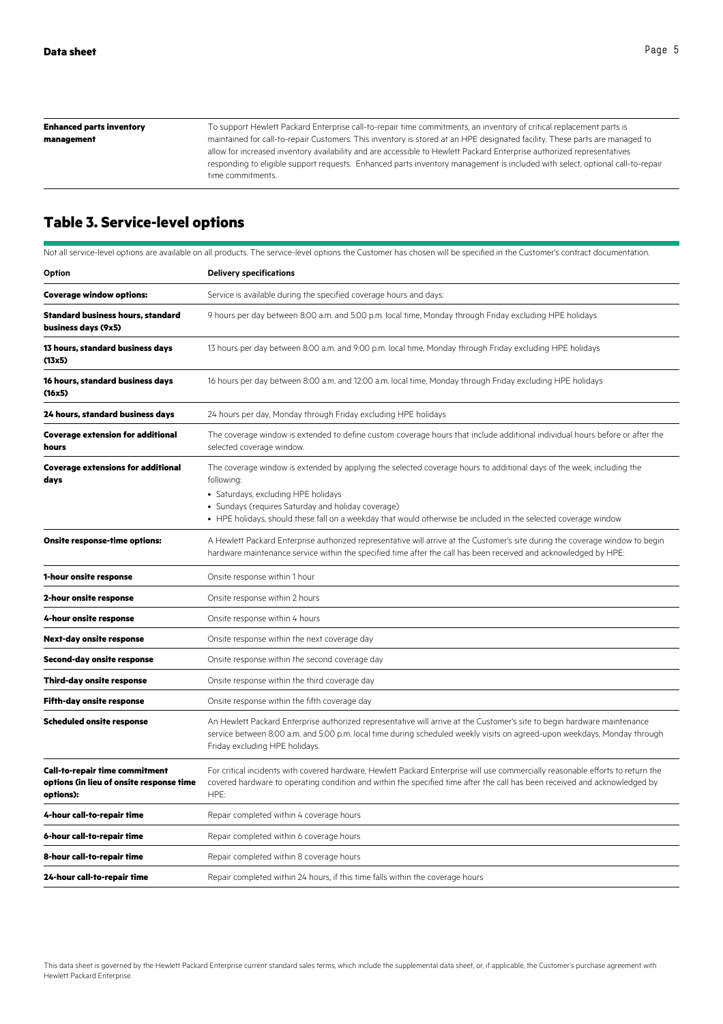To support Hewlett Packard Enterprise call-to-repair time commitments, an inventory of critical replacement parts is maintained for call-to-repair Customers. This inventory is stored at an HPE designated facility. These parts are managed to allow for increased inventory availability and are accessible to Hewlett Packard Enterprise authorized representatives responding to eligible support requests. Enhanced parts inventory management is included with select, optional call-to-repair time commitments. **Enhanced parts inventory management**

# **Table 3. Service-level options**

|                                                                                                | Not all service-level options are available on all products. The service-level options the Customer has chosen will be specified in the Customer's contract documentation.                                                                                                                                                                          |  |  |  |
|------------------------------------------------------------------------------------------------|-----------------------------------------------------------------------------------------------------------------------------------------------------------------------------------------------------------------------------------------------------------------------------------------------------------------------------------------------------|--|--|--|
| Option                                                                                         | <b>Delivery specifications</b>                                                                                                                                                                                                                                                                                                                      |  |  |  |
| <b>Coverage window options:</b>                                                                | Service is available during the specified coverage hours and days:                                                                                                                                                                                                                                                                                  |  |  |  |
| <b>Standard business hours, standard</b><br>business days (9x5)                                | 9 hours per day between 8:00 a.m. and 5:00 p.m. local time, Monday through Friday excluding HPE holidays                                                                                                                                                                                                                                            |  |  |  |
| 13 hours, standard business days<br>(13x5)                                                     | 13 hours per day between 8:00 a.m. and 9:00 p.m. local time, Monday through Friday excluding HPE holidays                                                                                                                                                                                                                                           |  |  |  |
| 16 hours, standard business days<br>(16x5)                                                     | 16 hours per day between 8:00 a.m. and 12:00 a.m. local time, Monday through Friday excluding HPE holidays                                                                                                                                                                                                                                          |  |  |  |
| 24 hours, standard business days                                                               | 24 hours per day, Monday through Friday excluding HPE holidays                                                                                                                                                                                                                                                                                      |  |  |  |
| <b>Coverage extension for additional</b><br>hours                                              | The coverage window is extended to define custom coverage hours that include additional individual hours before or after the<br>selected coverage window.                                                                                                                                                                                           |  |  |  |
| <b>Coverage extensions for additional</b><br>days                                              | The coverage window is extended by applying the selected coverage hours to additional days of the week, including the<br>following:<br>· Saturdays, excluding HPE holidays<br>• Sundays (requires Saturday and holiday coverage)<br>• HPE holidays, should these fall on a weekday that would otherwise be included in the selected coverage window |  |  |  |
| <b>Onsite response-time options:</b>                                                           | A Hewlett Packard Enterprise authorized representative will arrive at the Customer's site during the coverage window to begin<br>hardware maintenance service within the specified time after the call has been received and acknowledged by HPE:                                                                                                   |  |  |  |
| 1-hour onsite response                                                                         | Onsite response within 1 hour                                                                                                                                                                                                                                                                                                                       |  |  |  |
| 2-hour onsite response                                                                         | Onsite response within 2 hours                                                                                                                                                                                                                                                                                                                      |  |  |  |
| 4-hour onsite response                                                                         | Onsite response within 4 hours                                                                                                                                                                                                                                                                                                                      |  |  |  |
| <b>Next-day onsite response</b>                                                                | Onsite response within the next coverage day                                                                                                                                                                                                                                                                                                        |  |  |  |
| <b>Second-day onsite response</b>                                                              | Onsite response within the second coverage day                                                                                                                                                                                                                                                                                                      |  |  |  |
| Third-day onsite response                                                                      | Onsite response within the third coverage day                                                                                                                                                                                                                                                                                                       |  |  |  |
| <b>Fifth-day onsite response</b>                                                               | Onsite response within the fifth coverage day                                                                                                                                                                                                                                                                                                       |  |  |  |
| <b>Scheduled onsite response</b>                                                               | An Hewlett Packard Enterprise authorized representative will arrive at the Customer's site to begin hardware maintenance<br>service between 8:00 a.m. and 5:00 p.m. local time during scheduled weekly visits on agreed-upon weekdays, Monday through<br>Friday excluding HPE holidays.                                                             |  |  |  |
| <b>Call-to-repair time commitment</b><br>options (in lieu of onsite response time<br>options): | For critical incidents with covered hardware, Hewlett Packard Enterprise will use commercially reasonable efforts to return the<br>covered hardware to operating condition and within the specified time after the call has been received and acknowledged by<br>HPE:                                                                               |  |  |  |
| 4-hour call-to-repair time                                                                     | Repair completed within 4 coverage hours                                                                                                                                                                                                                                                                                                            |  |  |  |
| 6-hour call-to-repair time                                                                     | Repair completed within 6 coverage hours                                                                                                                                                                                                                                                                                                            |  |  |  |
| 8-hour call-to-repair time                                                                     | Repair completed within 8 coverage hours                                                                                                                                                                                                                                                                                                            |  |  |  |
| 24-hour call-to-repair time                                                                    | Repair completed within 24 hours, if this time falls within the coverage hours                                                                                                                                                                                                                                                                      |  |  |  |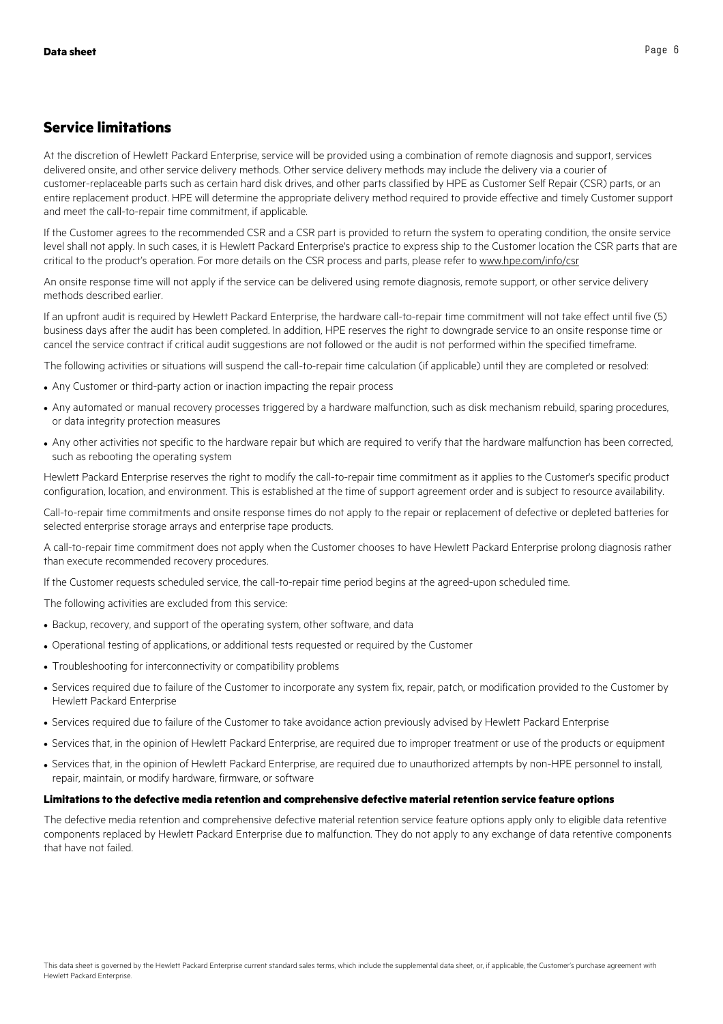## **Service limitations**

At the discretion of Hewlett Packard Enterprise, service will be provided using a combination of remote diagnosis and support, services delivered onsite, and other service delivery methods. Other service delivery methods may include the delivery via a courier of customer-replaceable parts such as certain hard disk drives, and other parts classified by HPE as Customer Self Repair (CSR) parts, or an entire replacement product. HPE will determine the appropriate delivery method required to provide effective and timely Customer support and meet the call-to-repair time commitment, if applicable.

If the Customer agrees to the recommended CSR and a CSR part is provided to return the system to operating condition, the onsite service level shall not apply. In such cases, it is Hewlett Packard Enterprise's practice to express ship to the Customer location the CSR parts that are critical to the product's operation. For more details on the CSR process and parts, please refer to www.hpe.com/info/csr

An onsite response time will not apply if the service can be delivered using remote diagnosis, remote support, or other service delivery methods described earlier.

If an upfront audit is required by Hewlett Packard Enterprise, the hardware call-to-repair time commitment will not take effect until five (5) business days after the audit has been completed. In addition, HPE reserves the right to downgrade service to an onsite response time or cancel the service contract if critical audit suggestions are not followed or the audit is not performed within the specified timeframe.

The following activities or situations will suspend the call-to-repair time calculation (if applicable) until they are completed or resolved:

- Any Customer or third-party action or inaction impacting the repair process
- Any automated or manual recovery processes triggered by a hardware malfunction, such as disk mechanism rebuild, sparing procedures, or data integrity protection measures
- Any other activities not specific to the hardware repair but which are required to verify that the hardware malfunction has been corrected, such as rebooting the operating system

Hewlett Packard Enterprise reserves the right to modify the call-to-repair time commitment as it applies to the Customer's specific product configuration, location, and environment. This is established at the time of support agreement order and is subject to resource availability.

Call-to-repair time commitments and onsite response times do not apply to the repair or replacement of defective or depleted batteries for selected enterprise storage arrays and enterprise tape products.

A call-to-repair time commitment does not apply when the Customer chooses to have Hewlett Packard Enterprise prolong diagnosis rather than execute recommended recovery procedures.

If the Customer requests scheduled service, the call-to-repair time period begins at the agreed-upon scheduled time.

The following activities are excluded from this service:

- Backup, recovery, and support of the operating system, other software, and data
- Operational testing of applications, or additional tests requested or required by the Customer
- Troubleshooting for interconnectivity or compatibility problems
- Services required due to failure of the Customer to incorporate any system fix, repair, patch, or modification provided to the Customer by Hewlett Packard Enterprise
- Services required due to failure of the Customer to take avoidance action previously advised by Hewlett Packard Enterprise
- Services that, in the opinion of Hewlett Packard Enterprise, are required due to improper treatment or use of the products or equipment
- Services that, in the opinion of Hewlett Packard Enterprise, are required due to unauthorized attempts by non-HPE personnel to install, repair, maintain, or modify hardware, firmware, or software

#### **Limitations to the defective media retention and comprehensive defective material retention service feature options**

The defective media retention and comprehensive defective material retention service feature options apply only to eligible data retentive components replaced by Hewlett Packard Enterprise due to malfunction. They do not apply to any exchange of data retentive components that have not failed.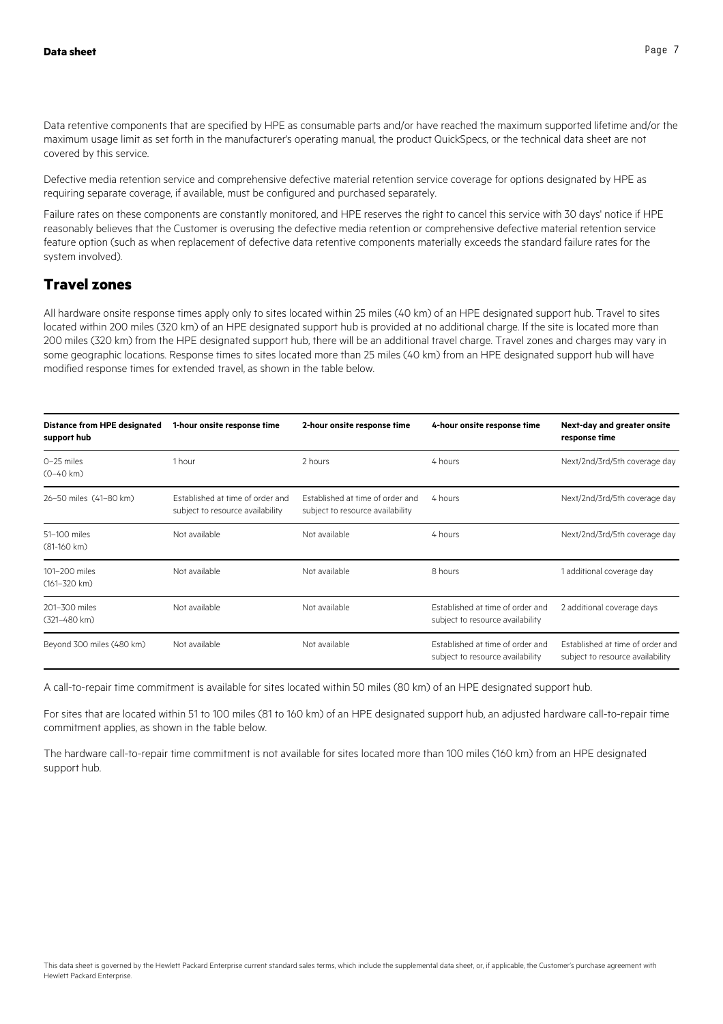Data retentive components that are specified by HPE as consumable parts and/or have reached the maximum supported lifetime and/or the maximum usage limit as set forth in the manufacturer's operating manual, the product QuickSpecs, or the technical data sheet are not covered by this service.

Defective media retention service and comprehensive defective material retention service coverage for options designated by HPE as requiring separate coverage, if available, must be configured and purchased separately.

Failure rates on these components are constantly monitored, and HPE reserves the right to cancel this service with 30 days' notice if HPE reasonably believes that the Customer is overusing the defective media retention or comprehensive defective material retention service feature option (such as when replacement of defective data retentive components materially exceeds the standard failure rates for the system involved).

## **Travel zones**

All hardware onsite response times apply only to sites located within 25 miles (40 km) of an HPE designated support hub. Travel to sites located within 200 miles (320 km) of an HPE designated support hub is provided at no additional charge. If the site is located more than 200 miles (320 km) from the HPE designated support hub, there will be an additional travel charge. Travel zones and charges may vary in some geographic locations. Response times to sites located more than 25 miles (40 km) from an HPE designated support hub will have modified response times for extended travel, as shown in the table below.

| <b>Distance from HPE designated</b><br>support hub | 1-hour onsite response time                                          | 2-hour onsite response time                                          | 4-hour onsite response time                                          | Next-day and greater onsite<br>response time                         |
|----------------------------------------------------|----------------------------------------------------------------------|----------------------------------------------------------------------|----------------------------------------------------------------------|----------------------------------------------------------------------|
| 0-25 miles<br>$(0-40 \text{ km})$                  | 1 hour                                                               | 2 hours                                                              | 4 hours                                                              | Next/2nd/3rd/5th coverage day                                        |
| 26-50 miles (41-80 km)                             | Established at time of order and<br>subject to resource availability | Established at time of order and<br>subject to resource availability | 4 hours                                                              | Next/2nd/3rd/5th coverage day                                        |
| 51-100 miles<br>$(81 - 160 \text{ km})$            | Not available                                                        | Not available                                                        | 4 hours                                                              | Next/2nd/3rd/5th coverage day                                        |
| 101-200 miles<br>$(161 - 320$ km)                  | Not available                                                        | Not available                                                        | 8 hours                                                              | 1 additional coverage day                                            |
| 201-300 miles<br>(321-480 km)                      | Not available                                                        | Not available                                                        | Established at time of order and<br>subject to resource availability | 2 additional coverage days                                           |
| Beyond 300 miles (480 km)                          | Not available                                                        | Not available                                                        | Established at time of order and<br>subject to resource availability | Established at time of order and<br>subject to resource availability |

A call-to-repair time commitment is available for sites located within 50 miles (80 km) of an HPE designated support hub.

For sites that are located within 51 to 100 miles (81 to 160 km) of an HPE designated support hub, an adjusted hardware call-to-repair time commitment applies, as shown in the table below.

The hardware call-to-repair time commitment is not available for sites located more than 100 miles (160 km) from an HPE designated support hub.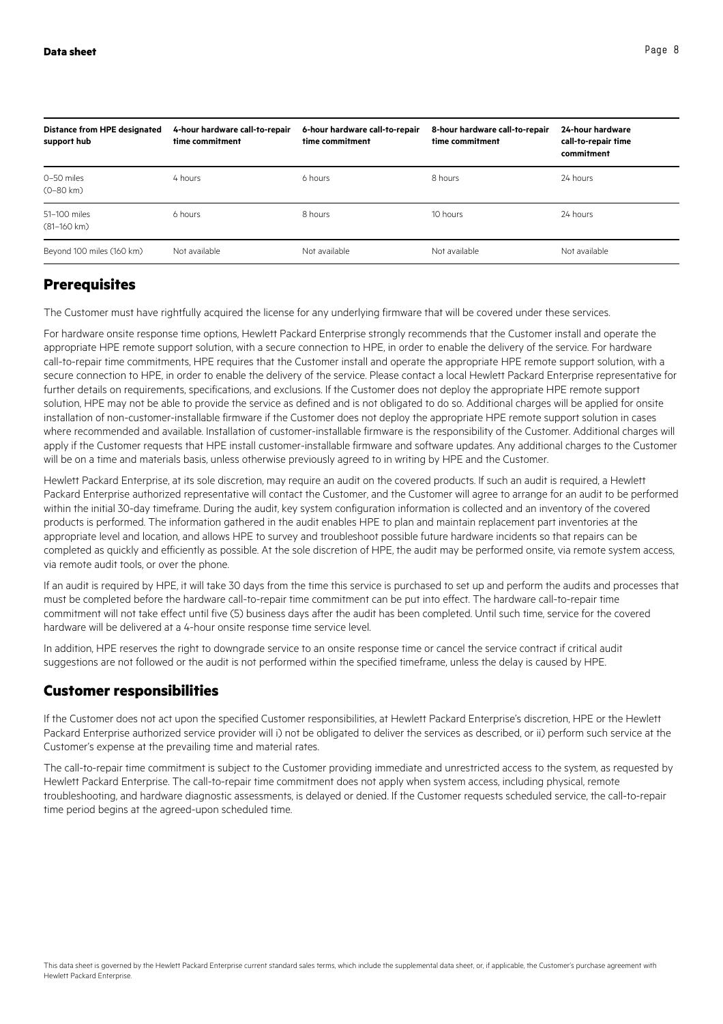| Distance from HPE designated<br>support hub | 4-hour hardware call-to-repair<br>time commitment | 6-hour hardware call-to-repair<br>time commitment | 8-hour hardware call-to-repair<br>time commitment | 24-hour hardware<br>call-to-repair time<br>commitment |
|---------------------------------------------|---------------------------------------------------|---------------------------------------------------|---------------------------------------------------|-------------------------------------------------------|
| 0-50 miles<br>$(0 - 80 \text{ km})$         | 4 hours                                           | 6 hours                                           | 8 hours                                           | 24 hours                                              |
| 51-100 miles<br>$(81 - 160 \text{ km})$     | 6 hours                                           | 8 hours                                           | 10 hours                                          | 24 hours                                              |
| Beyond 100 miles (160 km)                   | Not available                                     | Not available                                     | Not available                                     | Not available                                         |

## **Prerequisites**

The Customer must have rightfully acquired the license for any underlying firmware that will be covered under these services.

For hardware onsite response time options, Hewlett Packard Enterprise strongly recommends that the Customer install and operate the appropriate HPE remote support solution, with a secure connection to HPE, in order to enable the delivery of the service. For hardware call-to-repair time commitments, HPE requires that the Customer install and operate the appropriate HPE remote support solution, with a secure connection to HPE, in order to enable the delivery of the service. Please contact a local Hewlett Packard Enterprise representative for further details on requirements, specifications, and exclusions. If the Customer does not deploy the appropriate HPE remote support solution, HPE may not be able to provide the service as defined and is not obligated to do so. Additional charges will be applied for onsite installation of non-customer-installable firmware if the Customer does not deploy the appropriate HPE remote support solution in cases where recommended and available. Installation of customer-installable firmware is the responsibility of the Customer. Additional charges will apply if the Customer requests that HPE install customer-installable firmware and software updates. Any additional charges to the Customer will be on a time and materials basis, unless otherwise previously agreed to in writing by HPE and the Customer.

Hewlett Packard Enterprise, at its sole discretion, may require an audit on the covered products. If such an audit is required, a Hewlett Packard Enterprise authorized representative will contact the Customer, and the Customer will agree to arrange for an audit to be performed within the initial 30-day timeframe. During the audit, key system configuration information is collected and an inventory of the covered products is performed. The information gathered in the audit enables HPE to plan and maintain replacement part inventories at the appropriate level and location, and allows HPE to survey and troubleshoot possible future hardware incidents so that repairs can be completed as quickly and efficiently as possible. At the sole discretion of HPE, the audit may be performed onsite, via remote system access, via remote audit tools, or over the phone.

If an audit is required by HPE, it will take 30 days from the time this service is purchased to set up and perform the audits and processes that must be completed before the hardware call-to-repair time commitment can be put into effect. The hardware call-to-repair time commitment will not take effect until five (5) business days after the audit has been completed. Until such time, service for the covered hardware will be delivered at a 4-hour onsite response time service level.

In addition, HPE reserves the right to downgrade service to an onsite response time or cancel the service contract if critical audit suggestions are not followed or the audit is not performed within the specified timeframe, unless the delay is caused by HPE.

## **Customer responsibilities**

If the Customer does not act upon the specified Customer responsibilities, at Hewlett Packard Enterprise's discretion, HPE or the Hewlett Packard Enterprise authorized service provider will i) not be obligated to deliver the services as described, or ii) perform such service at the Customer's expense at the prevailing time and material rates.

The call-to-repair time commitment is subject to the Customer providing immediate and unrestricted access to the system, as requested by Hewlett Packard Enterprise. The call-to-repair time commitment does not apply when system access, including physical, remote troubleshooting, and hardware diagnostic assessments, is delayed or denied. If the Customer requests scheduled service, the call-to-repair time period begins at the agreed-upon scheduled time.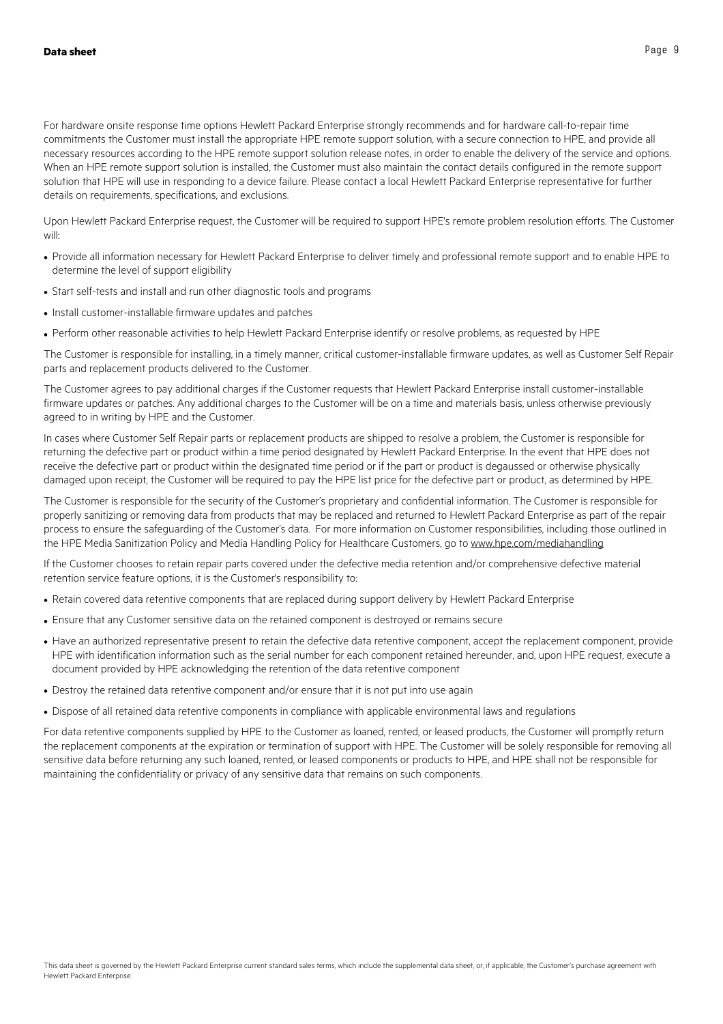For hardware onsite response time options Hewlett Packard Enterprise strongly recommends and for hardware call-to-repair time commitments the Customer must install the appropriate HPE remote support solution, with a secure connection to HPE, and provide all necessary resources according to the HPE remote support solution release notes, in order to enable the delivery of the service and options. When an HPE remote support solution is installed, the Customer must also maintain the contact details configured in the remote support solution that HPE will use in responding to a device failure. Please contact a local Hewlett Packard Enterprise representative for further details on requirements, specifications, and exclusions.

Upon Hewlett Packard Enterprise request, the Customer will be required to support HPE's remote problem resolution efforts. The Customer will:

- Provide all information necessary for Hewlett Packard Enterprise to deliver timely and professional remote support and to enable HPE to determine the level of support eligibility
- Start self-tests and install and run other diagnostic tools and programs
- Install customer-installable firmware updates and patches
- Perform other reasonable activities to help Hewlett Packard Enterprise identify or resolve problems, as requested by HPE

The Customer is responsible for installing, in a timely manner, critical customer-installable firmware updates, as well as Customer Self Repair parts and replacement products delivered to the Customer.

The Customer agrees to pay additional charges if the Customer requests that Hewlett Packard Enterprise install customer-installable firmware updates or patches. Any additional charges to the Customer will be on a time and materials basis, unless otherwise previously agreed to in writing by HPE and the Customer.

In cases where Customer Self Repair parts or replacement products are shipped to resolve a problem, the Customer is responsible for returning the defective part or product within a time period designated by Hewlett Packard Enterprise. In the event that HPE does not receive the defective part or product within the designated time period or if the part or product is degaussed or otherwise physically damaged upon receipt, the Customer will be required to pay the HPE list price for the defective part or product, as determined by HPE.

The Customer is responsible for the security of the Customer's proprietary and confidential information. The Customer is responsible for properly sanitizing or removing data from products that may be replaced and returned to Hewlett Packard Enterprise as part of the repair process to ensure the safeguarding of the Customer's data. For more information on Customer responsibilities, including those outlined in the HPE Media Sanitization Policy and Media Handling Policy for Healthcare Customers, go to www.hpe.com/mediahandling

If the Customer chooses to retain repair parts covered under the defective media retention and/or comprehensive defective material retention service feature options, it is the Customer's responsibility to:

- Retain covered data retentive components that are replaced during support delivery by Hewlett Packard Enterprise
- Ensure that any Customer sensitive data on the retained component is destroyed or remains secure
- Have an authorized representative present to retain the defective data retentive component, accept the replacement component, provide HPE with identification information such as the serial number for each component retained hereunder, and, upon HPE request, execute a document provided by HPE acknowledging the retention of the data retentive component
- Destroy the retained data retentive component and/or ensure that it is not put into use again
- Dispose of all retained data retentive components in compliance with applicable environmental laws and regulations

For data retentive components supplied by HPE to the Customer as loaned, rented, or leased products, the Customer will promptly return the replacement components at the expiration or termination of support with HPE. The Customer will be solely responsible for removing all sensitive data before returning any such loaned, rented, or leased components or products to HPE, and HPE shall not be responsible for maintaining the confidentiality or privacy of any sensitive data that remains on such components.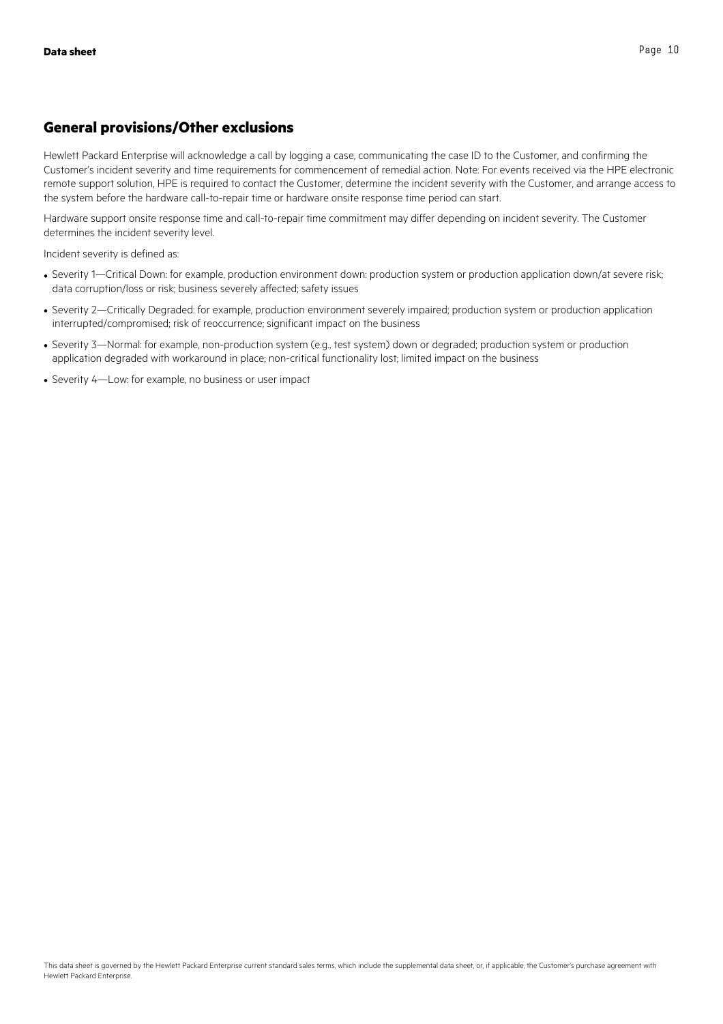## **General provisions/Other exclusions**

Hewlett Packard Enterprise will acknowledge a call by logging a case, communicating the case ID to the Customer, and confirming the Customer's incident severity and time requirements for commencement of remedial action. Note: For events received via the HPE electronic remote support solution, HPE is required to contact the Customer, determine the incident severity with the Customer, and arrange access to the system before the hardware call-to-repair time or hardware onsite response time period can start.

Hardware support onsite response time and call-to-repair time commitment may differ depending on incident severity. The Customer determines the incident severity level.

Incident severity is defined as:

- Severity 1—Critical Down: for example, production environment down: production system or production application down/at severe risk: data corruption/loss or risk; business severely affected; safety issues
- Severity 2—Critically Degraded: for example, production environment severely impaired; production system or production application interrupted/compromised; risk of reoccurrence; significant impact on the business
- Severity 3—Normal: for example, non-production system (e.g., test system) down or degraded; production system or production application degraded with workaround in place; non-critical functionality lost; limited impact on the business
- Severity 4—Low: for example, no business or user impact